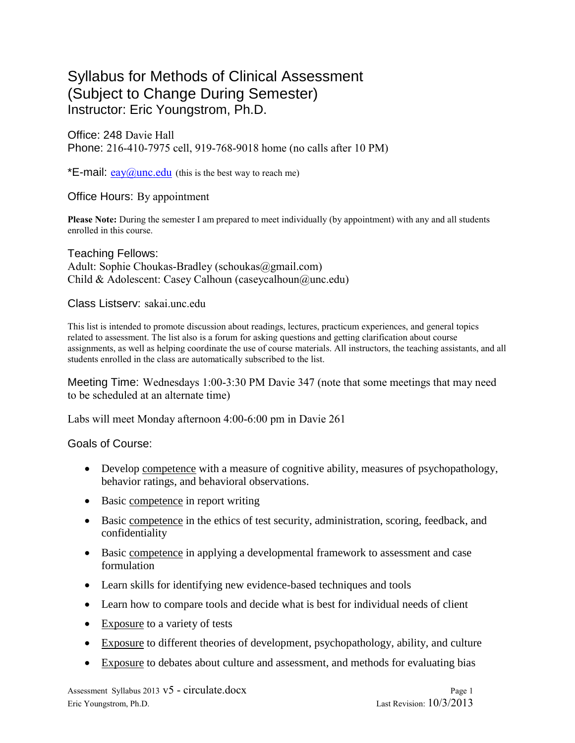# Syllabus for Methods of Clinical Assessment (Subject to Change During Semester) Instructor: Eric Youngstrom, Ph.D.

Office: 248 Davie Hall Phone: 216-410-7975 cell, 919-768-9018 home (no calls after 10 PM)

\***E-mail:**  $e$ ay $\widehat{a}$ unc.edu (this is the best way to reach me)

## Office Hours: By appointment

**Please Note:** During the semester I am prepared to meet individually (by appointment) with any and all students enrolled in this course.

Teaching Fellows: Adult: Sophie Choukas-Bradley (schoukas@gmail.com) Child & Adolescent: Casey Calhoun (caseycalhoun@unc.edu)

## Class Listserv: sakai.unc.edu

This list is intended to promote discussion about readings, lectures, practicum experiences, and general topics related to assessment. The list also is a forum for asking questions and getting clarification about course assignments, as well as helping coordinate the use of course materials. All instructors, the teaching assistants, and all students enrolled in the class are automatically subscribed to the list.

Meeting Time: Wednesdays 1:00-3:30 PM Davie 347 (note that some meetings that may need to be scheduled at an alternate time)

Labs will meet Monday afternoon 4:00-6:00 pm in Davie 261

Goals of Course:

- Develop competence with a measure of cognitive ability, measures of psychopathology, behavior ratings, and behavioral observations.
- Basic competence in report writing
- Basic competence in the ethics of test security, administration, scoring, feedback, and confidentiality
- Basic competence in applying a developmental framework to assessment and case formulation
- Learn skills for identifying new evidence-based techniques and tools
- Learn how to compare tools and decide what is best for individual needs of client
- Exposure to a variety of tests
- Exposure to different theories of development, psychopathology, ability, and culture
- Exposure to debates about culture and assessment, and methods for evaluating bias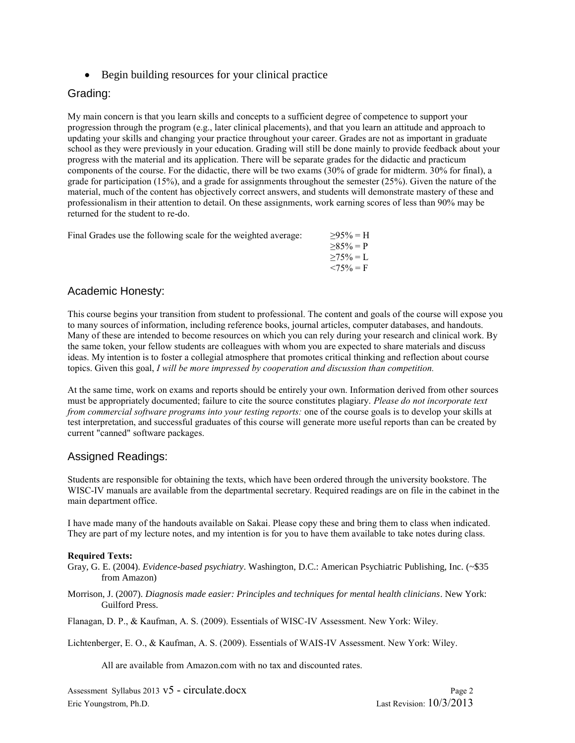Begin building resources for your clinical practice

## Grading:

My main concern is that you learn skills and concepts to a sufficient degree of competence to support your progression through the program (e.g., later clinical placements), and that you learn an attitude and approach to updating your skills and changing your practice throughout your career. Grades are not as important in graduate school as they were previously in your education. Grading will still be done mainly to provide feedback about your progress with the material and its application. There will be separate grades for the didactic and practicum components of the course. For the didactic, there will be two exams (30% of grade for midterm. 30% for final), a grade for participation (15%), and a grade for assignments throughout the semester (25%). Given the nature of the material, much of the content has objectively correct answers, and students will demonstrate mastery of these and professionalism in their attention to detail. On these assignments, work earning scores of less than 90% may be returned for the student to re-do.

| Final Grades use the following scale for the weighted average: | $>95\% = H$     |
|----------------------------------------------------------------|-----------------|
|                                                                | $>85\% = P$     |
|                                                                | $\geq 75\% = L$ |

## Academic Honesty:

This course begins your transition from student to professional. The content and goals of the course will expose you to many sources of information, including reference books, journal articles, computer databases, and handouts. Many of these are intended to become resources on which you can rely during your research and clinical work. By the same token, your fellow students are colleagues with whom you are expected to share materials and discuss ideas. My intention is to foster a collegial atmosphere that promotes critical thinking and reflection about course topics. Given this goal, *I will be more impressed by cooperation and discussion than competition.*

 $< 75\% = F$ 

At the same time, work on exams and reports should be entirely your own. Information derived from other sources must be appropriately documented; failure to cite the source constitutes plagiary. *Please do not incorporate text from commercial software programs into your testing reports:* one of the course goals is to develop your skills at test interpretation, and successful graduates of this course will generate more useful reports than can be created by current "canned" software packages.

## Assigned Readings:

Students are responsible for obtaining the texts, which have been ordered through the university bookstore. The WISC-IV manuals are available from the departmental secretary. Required readings are on file in the cabinet in the main department office.

I have made many of the handouts available on Sakai. Please copy these and bring them to class when indicated. They are part of my lecture notes, and my intention is for you to have them available to take notes during class.

## **Required Texts:**

Gray, G. E. (2004). *Evidence-based psychiatry*. Washington, D.C.: American Psychiatric Publishing, Inc. (~\$35 from Amazon)

Morrison, J. (2007). *Diagnosis made easier: Principles and techniques for mental health clinicians*. New York: Guilford Press.

Flanagan, D. P., & Kaufman, A. S. (2009). Essentials of WISC-IV Assessment. New York: Wiley.

Lichtenberger, E. O., & Kaufman, A. S. (2009). Essentials of WAIS-IV Assessment. New York: Wiley.

All are available from Amazon.com with no tax and discounted rates.

Assessment Syllabus 2013 v5 - circulate.docx Page 2 Eric Youngstrom, Ph.D. Last Revision: 10/3/2013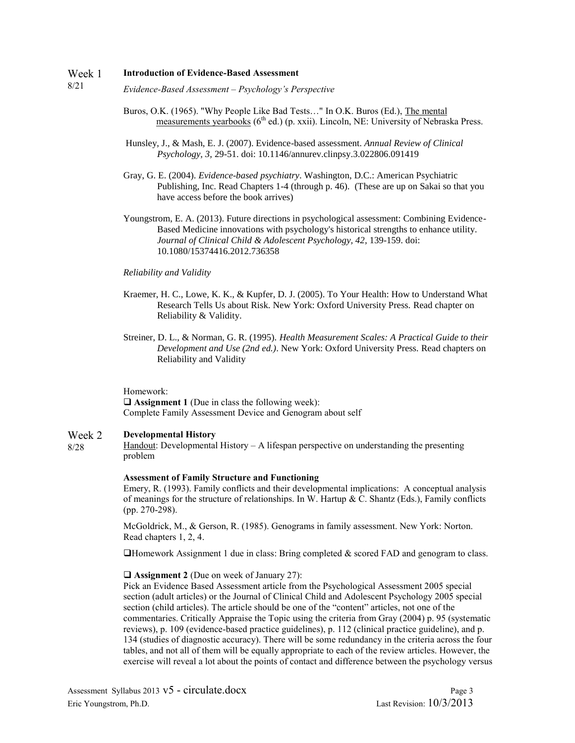#### Week 1 **Introduction of Evidence-Based Assessment**

- 8/21 *Evidence-Based Assessment – Psychology's Perspective*
	- Buros, O.K. (1965). "Why People Like Bad Tests…" In O.K. Buros (Ed.), The mental measurements yearbooks  $(6^{th}$  ed.) (p. xxii). Lincoln, NE: University of Nebraska Press.
	- Hunsley, J., & Mash, E. J. (2007). Evidence-based assessment. *Annual Review of Clinical Psychology, 3,* 29-51. doi: 10.1146/annurev.clinpsy.3.022806.091419
	- Gray, G. E. (2004). *Evidence-based psychiatry*. Washington, D.C.: American Psychiatric Publishing, Inc. Read Chapters 1-4 (through p. 46). (These are up on Sakai so that you have access before the book arrives)
	- Youngstrom, E. A. (2013). Future directions in psychological assessment: Combining Evidence-Based Medicine innovations with psychology's historical strengths to enhance utility. *Journal of Clinical Child & Adolescent Psychology, 42,* 139-159. doi: 10.1080/15374416.2012.736358

### *Reliability and Validity*

- Kraemer, H. C., Lowe, K. K., & Kupfer, D. J. (2005). To Your Health: How to Understand What Research Tells Us about Risk. New York: Oxford University Press. Read chapter on Reliability & Validity.
- Streiner, D. L., & Norman, G. R. (1995). *Health Measurement Scales: A Practical Guide to their Development and Use (2nd ed.)*. New York: Oxford University Press. Read chapters on Reliability and Validity

Homework: **Assignment 1** (Due in class the following week): Complete Family Assessment Device and Genogram about self

#### Week 2 **Developmental History**

8/28

### Handout: Developmental History  $-A$  lifespan perspective on understanding the presenting problem

### **Assessment of Family Structure and Functioning**

Emery, R. (1993). Family conflicts and their developmental implications: A conceptual analysis of meanings for the structure of relationships. In W. Hartup  $\& C$ . Shantz (Eds.), Family conflicts (pp. 270-298).

McGoldrick, M., & Gerson, R. (1985). Genograms in family assessment. New York: Norton. Read chapters 1, 2, 4.

 $\Box$  Homework Assignment 1 due in class: Bring completed & scored FAD and genogram to class.

### **Assignment 2** (Due on week of January 27):

Pick an Evidence Based Assessment article from the Psychological Assessment 2005 special section (adult articles) or the Journal of Clinical Child and Adolescent Psychology 2005 special section (child articles). The article should be one of the "content" articles, not one of the commentaries. Critically Appraise the Topic using the criteria from Gray (2004) p. 95 (systematic reviews), p. 109 (evidence-based practice guidelines), p. 112 (clinical practice guideline), and p. 134 (studies of diagnostic accuracy). There will be some redundancy in the criteria across the four tables, and not all of them will be equally appropriate to each of the review articles. However, the exercise will reveal a lot about the points of contact and difference between the psychology versus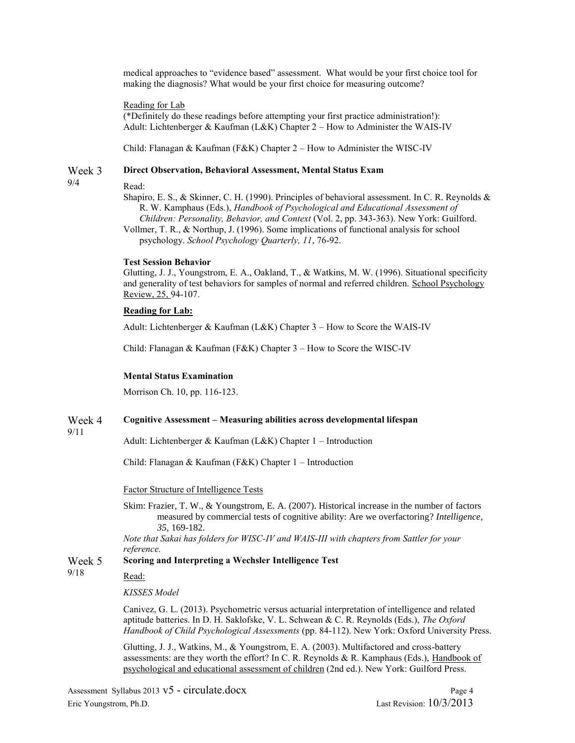medical approaches to "evidence based" assessment. What would be your first choice tool for making the diagnosis? What would be your first choice for measuring outcome?

Reading for Lab

Read:

(\*Definitely do these readings before attempting your first practice administration!): Adult: Lichtenberger & Kaufman (L&K) Chapter  $2 -$  How to Administer the WAIS-IV

Child: Flanagan & Kaufman (F&K) Chapter 2 – How to Administer the WISC-IV

#### Week 3 **Direct Observation, Behavioral Assessment, Mental Status Exam**

9/4

Shapiro, E. S., & Skinner, C. H. (1990). Principles of behavioral assessment. In C. R. Reynolds & R. W. Kamphaus (Eds.), *Handbook of Psychological and Educational Assessment of Children: Personality, Behavior, and Context* (Vol. 2, pp. 343-363). New York: Guilford.

Vollmer, T. R., & Northup, J. (1996). Some implications of functional analysis for school psychology. *School Psychology Quarterly, 11*, 76-92.

### **Test Session Behavior**

Glutting, J. J., Youngstrom, E. A., Oakland, T., & Watkins, M. W. (1996). Situational specificity and generality of test behaviors for samples of normal and referred children. School Psychology Review, 25, 94-107.

### **Reading for Lab:**

Adult: Lichtenberger & Kaufman (L&K) Chapter 3 – How to Score the WAIS-IV

Child: Flanagan & Kaufman (F&K) Chapter 3 – How to Score the WISC-IV

### **Mental Status Examination**

Morrison Ch. 10, pp. 116-123.

#### Week 4 **Cognitive Assessment – Measuring abilities across developmental lifespan**

9/11

Adult: Lichtenberger & Kaufman (L&K) Chapter 1 – Introduction

Child: Flanagan & Kaufman (F&K) Chapter 1 – Introduction

Factor Structure of Intelligence Tests

Skim: Frazier, T. W., & Youngstrom, E. A. (2007). Historical increase in the number of factors measured by commercial tests of cognitive ability: Are we overfactoring? *Intelligence, 35,* 169-182.

*Note that Sakai has folders for WISC-IV and WAIS-III with chapters from Sattler for your reference.* 

#### Week 5 **Scoring and Interpreting a Wechsler Intelligence Test**

9/18

*KISSES Model*

Read:

Canivez, G. L. (2013). Psychometric versus actuarial interpretation of intelligence and related aptitude batteries. In D. H. Saklofske, V. L. Schwean & C. R. Reynolds (Eds.), *The Oxford Handbook of Child Psychological Assessments* (pp. 84-112). New York: Oxford University Press.

Glutting, J. J., Watkins, M., & Youngstrom, E. A. (2003). Multifactored and cross-battery assessments: are they worth the effort? In C. R. Reynolds & R. Kamphaus (Eds.), Handbook of psychological and educational assessment of children (2nd ed.). New York: Guilford Press.

Assessment Syllabus 2013 v5 - circulate.docx Page 4 Eric Youngstrom, Ph.D. Last Revision: 10/3/2013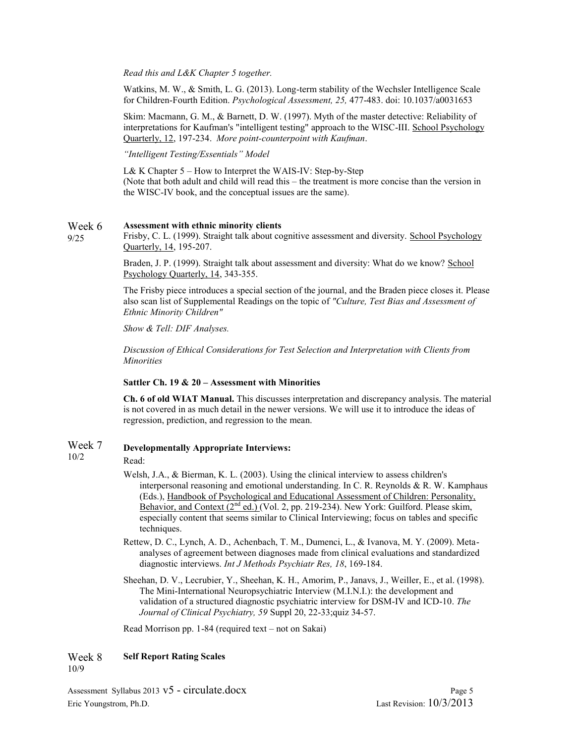*Read this and L&K Chapter 5 together.*

Watkins, M. W., & Smith, L. G. (2013). Long-term stability of the Wechsler Intelligence Scale for Children-Fourth Edition. *Psychological Assessment, 25,* 477-483. doi: 10.1037/a0031653

Skim: Macmann, G. M., & Barnett, D. W. (1997). Myth of the master detective: Reliability of interpretations for Kaufman's "intelligent testing" approach to the WISC-III. School Psychology Quarterly, 12, 197-234. *More point-counterpoint with Kaufman*.

*"Intelligent Testing/Essentials" Model*

L& K Chapter 5 – How to Interpret the WAIS-IV: Step-by-Step (Note that both adult and child will read this – the treatment is more concise than the version in the WISC-IV book, and the conceptual issues are the same).

#### Week 6 **Assessment with ethnic minority clients**

Frisby, C. L. (1999). Straight talk about cognitive assessment and diversity. School Psychology Quarterly, 14, 195-207.

Braden, J. P. (1999). Straight talk about assessment and diversity: What do we know? School Psychology Quarterly, 14, 343-355.

The Frisby piece introduces a special section of the journal, and the Braden piece closes it. Please also scan list of Supplemental Readings on the topic of *"Culture, Test Bias and Assessment of Ethnic Minority Children"*

*Show & Tell: DIF Analyses.*

*Discussion of Ethical Considerations for Test Selection and Interpretation with Clients from Minorities*

### **Sattler Ch. 19 & 20 – Assessment with Minorities**

**Ch. 6 of old WIAT Manual.** This discusses interpretation and discrepancy analysis. The material is not covered in as much detail in the newer versions. We will use it to introduce the ideas of regression, prediction, and regression to the mean.

### Week 7 10/2 **Developmentally Appropriate Interviews:**

### Read:

9/25

- Welsh, J.A., & Bierman, K. L. (2003). Using the clinical interview to assess children's interpersonal reasoning and emotional understanding. In C. R. Reynolds & R. W. Kamphaus (Eds.), Handbook of Psychological and Educational Assessment of Children: Personality, Behavior, and Context  $(2^{nd}$  ed.) (Vol. 2, pp. 219-234). New York: Guilford. Please skim, especially content that seems similar to Clinical Interviewing; focus on tables and specific techniques.
- Rettew, D. C., Lynch, A. D., Achenbach, T. M., Dumenci, L., & Ivanova, M. Y. (2009). Metaanalyses of agreement between diagnoses made from clinical evaluations and standardized diagnostic interviews. *Int J Methods Psychiatr Res, 18*, 169-184.
- Sheehan, D. V., Lecrubier, Y., Sheehan, K. H., Amorim, P., Janavs, J., Weiller, E., et al. (1998). The Mini-International Neuropsychiatric Interview (M.I.N.I.): the development and validation of a structured diagnostic psychiatric interview for DSM-IV and ICD-10. *The Journal of Clinical Psychiatry, 59* Suppl 20, 22-33;quiz 34-57.

Read Morrison pp. 1-84 (required text – not on Sakai)

#### Week 8 **Self Report Rating Scales**

10/9

Assessment Syllabus 2013 v5 - circulate.docx Page 5 Eric Youngstrom, Ph.D. Last Revision: 10/3/2013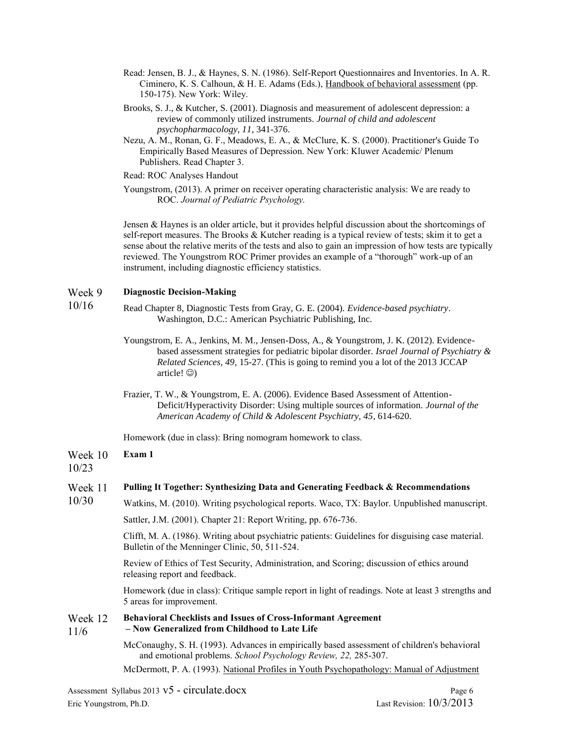- Read: Jensen, B. J., & Haynes, S. N. (1986). Self-Report Questionnaires and Inventories. In A. R. Ciminero, K. S. Calhoun, & H. E. Adams (Eds.), Handbook of behavioral assessment (pp. 150-175). New York: Wiley.
- Brooks, S. J., & Kutcher, S. (2001). Diagnosis and measurement of adolescent depression: a review of commonly utilized instruments. *Journal of child and adolescent psychopharmacology, 11*, 341-376.
- Nezu, A. M., Ronan, G. F., Meadows, E. A., & McClure, K. S. (2000). Practitioner's Guide To Empirically Based Measures of Depression. New York: Kluwer Academic/ Plenum Publishers. Read Chapter 3.
- Read: ROC Analyses Handout
- Youngstrom, (2013). A primer on receiver operating characteristic analysis: We are ready to ROC. *Journal of Pediatric Psychology.*

Jensen & Haynes is an older article, but it provides helpful discussion about the shortcomings of self-report measures. The Brooks & Kutcher reading is a typical review of tests; skim it to get a sense about the relative merits of the tests and also to gain an impression of how tests are typically reviewed. The Youngstrom ROC Primer provides an example of a "thorough" work-up of an instrument, including diagnostic efficiency statistics.

#### Week 9 **Diagnostic Decision-Making**

- 10/16 Read Chapter 8, Diagnostic Tests from Gray, G. E. (2004). *Evidence-based psychiatry*. Washington, D.C.: American Psychiatric Publishing, Inc.
	- Youngstrom, E. A., Jenkins, M. M., Jensen-Doss, A., & Youngstrom, J. K. (2012). Evidencebased assessment strategies for pediatric bipolar disorder. *Israel Journal of Psychiatry & Related Sciences, 49,* 15-27. (This is going to remind you a lot of the 2013 JCCAP article! $\circledcirc$ )
	- Frazier, T. W., & Youngstrom, E. A. (2006). Evidence Based Assessment of Attention-Deficit/Hyperactivity Disorder: Using multiple sources of information. *Journal of the American Academy of Child & Adolescent Psychiatry, 45*, 614-620.

Homework (due in class): Bring nomogram homework to class.

#### Week 10 **Exam 1**

## 10/23

#### Week 11 **Pulling It Together: Synthesizing Data and Generating Feedback & Recommendations**

10/30 Watkins, M. (2010). Writing psychological reports. Waco, TX: Baylor. Unpublished manuscript.

Sattler, J.M. (2001). Chapter 21: Report Writing, pp. 676-736.

Clifft, M. A. (1986). Writing about psychiatric patients: Guidelines for disguising case material. Bulletin of the Menninger Clinic, 50, 511-524.

Review of Ethics of Test Security, Administration, and Scoring; discussion of ethics around releasing report and feedback.

Homework (due in class): Critique sample report in light of readings. Note at least 3 strengths and 5 areas for improvement.

#### Week 12 **Behavioral Checklists and Issues of Cross-Informant Agreement**

11/6 **– Now Generalized from Childhood to Late Life**

> McConaughy, S. H. (1993). Advances in empirically based assessment of children's behavioral and emotional problems. *School Psychology Review, 22,* 285-307.

> McDermott, P. A. (1993). National Profiles in Youth Psychopathology: Manual of Adjustment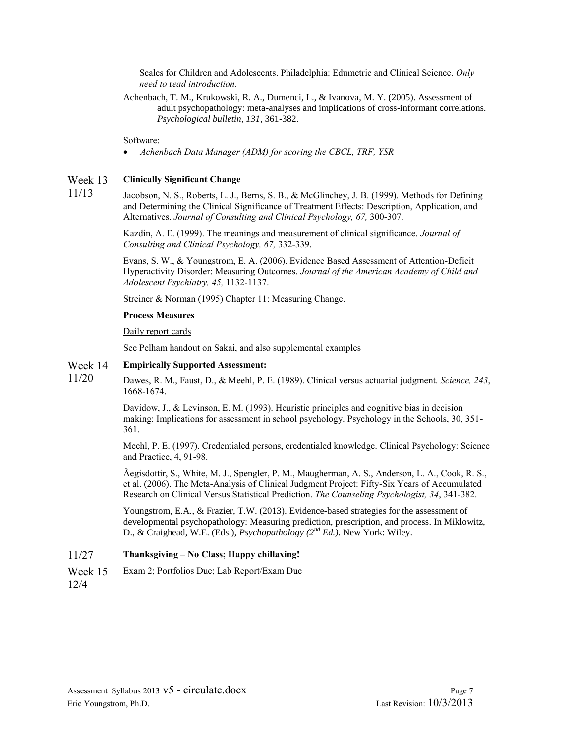Scales for Children and Adolescents. Philadelphia: Edumetric and Clinical Science. *Only need to* r*ead introduction.*

Achenbach, T. M., Krukowski, R. A., Dumenci, L., & Ivanova, M. Y. (2005). Assessment of adult psychopathology: meta-analyses and implications of cross-informant correlations. *Psychological bulletin, 131*, 361-382.

### Software:

*Achenbach Data Manager (ADM) for scoring the CBCL, TRF, YSR*

#### Week 13 **Clinically Significant Change**

11/13 Jacobson, N. S., Roberts, L. J., Berns, S. B., & McGlinchey, J. B. (1999). Methods for Defining and Determining the Clinical Significance of Treatment Effects: Description, Application, and Alternatives. *Journal of Consulting and Clinical Psychology, 67,* 300-307.

> Kazdin, A. E. (1999). The meanings and measurement of clinical significance. *Journal of Consulting and Clinical Psychology, 67,* 332-339.

Evans, S. W., & Youngstrom, E. A. (2006). Evidence Based Assessment of Attention-Deficit Hyperactivity Disorder: Measuring Outcomes. *Journal of the American Academy of Child and Adolescent Psychiatry, 45,* 1132-1137.

Streiner & Norman (1995) Chapter 11: Measuring Change.

### **Process Measures**

### Daily report cards

See Pelham handout on Sakai, and also supplemental examples

#### Week 14 **Empirically Supported Assessment:**

11/20 Dawes, R. M., Faust, D., & Meehl, P. E. (1989). Clinical versus actuarial judgment. *Science, 243*, 1668-1674.

> Davidow, J., & Levinson, E. M. (1993). Heuristic principles and cognitive bias in decision making: Implications for assessment in school psychology. Psychology in the Schools, 30, 351- 361.

Meehl, P. E. (1997). Credentialed persons, credentialed knowledge. Clinical Psychology: Science and Practice, 4, 91-98.

Ãegisdottir, S., White, M. J., Spengler, P. M., Maugherman, A. S., Anderson, L. A., Cook, R. S., et al. (2006). The Meta-Analysis of Clinical Judgment Project: Fifty-Six Years of Accumulated Research on Clinical Versus Statistical Prediction. *The Counseling Psychologist, 34*, 341-382.

Youngstrom, E.A., & Frazier, T.W. (2013). Evidence-based strategies for the assessment of developmental psychopathology: Measuring prediction, prescription, and process. In Miklowitz, D., & Craighead, W.E. (Eds.), *Psychopathology (2nd Ed.).* New York: Wiley.

### 11/27 **Thanksgiving – No Class; Happy chillaxing!**

Week 15 12/4 Exam 2; Portfolios Due; Lab Report/Exam Due